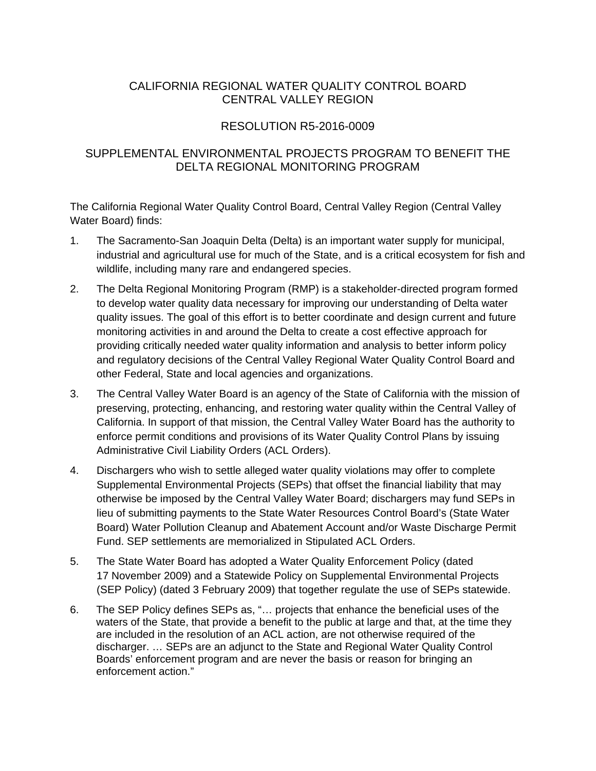# CALIFORNIA REGIONAL WATER QUALITY CONTROL BOARD CENTRAL VALLEY REGION

# RESOLUTION R5-2016-0009

## SUPPLEMENTAL ENVIRONMENTAL PROJECTS PROGRAM TO BENEFIT THE DELTA REGIONAL MONITORING PROGRAM

The California Regional Water Quality Control Board, Central Valley Region (Central Valley Water Board) finds:

- 1. The Sacramento-San Joaquin Delta (Delta) is an important water supply for municipal, industrial and agricultural use for much of the State, and is a critical ecosystem for fish and wildlife, including many rare and endangered species.
- 2. The Delta Regional Monitoring Program (RMP) is a stakeholder-directed program formed to develop water quality data necessary for improving our understanding of Delta water quality issues. The goal of this effort is to better coordinate and design current and future monitoring activities in and around the Delta to create a cost effective approach for providing critically needed water quality information and analysis to better inform policy and regulatory decisions of the Central Valley Regional Water Quality Control Board and other Federal, State and local agencies and organizations.
- 3. The Central Valley Water Board is an agency of the State of California with the mission of preserving, protecting, enhancing, and restoring water quality within the Central Valley of California. In support of that mission, the Central Valley Water Board has the authority to enforce permit conditions and provisions of its Water Quality Control Plans by issuing Administrative Civil Liability Orders (ACL Orders).
- 4. Dischargers who wish to settle alleged water quality violations may offer to complete Supplemental Environmental Projects (SEPs) that offset the financial liability that may otherwise be imposed by the Central Valley Water Board; dischargers may fund SEPs in lieu of submitting payments to the State Water Resources Control Board's (State Water Board) Water Pollution Cleanup and Abatement Account and/or Waste Discharge Permit Fund. SEP settlements are memorialized in Stipulated ACL Orders.
- 5. The State Water Board has adopted a Water Quality Enforcement Policy (dated 17 November 2009) and a Statewide Policy on Supplemental Environmental Projects (SEP Policy) (dated 3 February 2009) that together regulate the use of SEPs statewide.
- 6. The SEP Policy defines SEPs as, "… projects that enhance the beneficial uses of the waters of the State, that provide a benefit to the public at large and that, at the time they are included in the resolution of an ACL action, are not otherwise required of the discharger. … SEPs are an adjunct to the State and Regional Water Quality Control Boards' enforcement program and are never the basis or reason for bringing an enforcement action."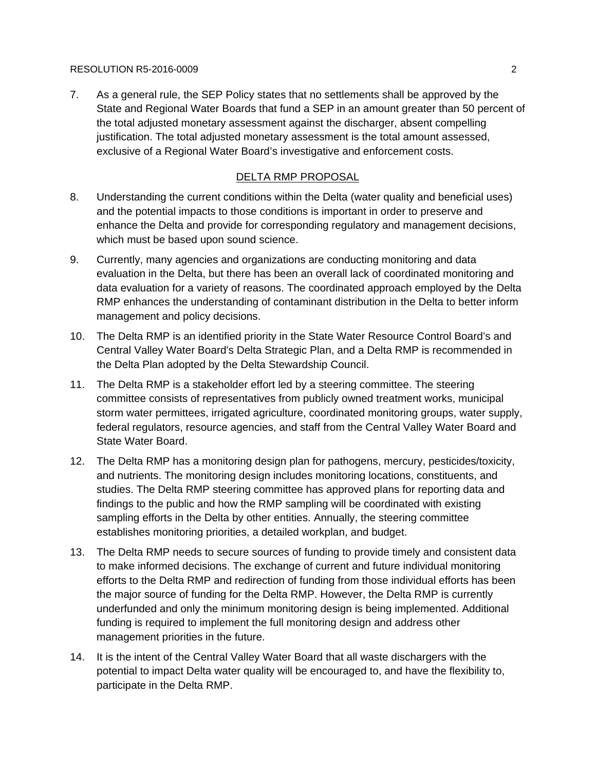### RESOLUTION R5-2016-0009 2

7. As a general rule, the SEP Policy states that no settlements shall be approved by the State and Regional Water Boards that fund a SEP in an amount greater than 50 percent of the total adjusted monetary assessment against the discharger, absent compelling justification. The total adjusted monetary assessment is the total amount assessed, exclusive of a Regional Water Board's investigative and enforcement costs.

## DELTA RMP PROPOSAL

- 8. Understanding the current conditions within the Delta (water quality and beneficial uses) and the potential impacts to those conditions is important in order to preserve and enhance the Delta and provide for corresponding regulatory and management decisions, which must be based upon sound science.
- 9. Currently, many agencies and organizations are conducting monitoring and data evaluation in the Delta, but there has been an overall lack of coordinated monitoring and data evaluation for a variety of reasons. The coordinated approach employed by the Delta RMP enhances the understanding of contaminant distribution in the Delta to better inform management and policy decisions.
- 10. The Delta RMP is an identified priority in the State Water Resource Control Board's and Central Valley Water Board's Delta Strategic Plan, and a Delta RMP is recommended in the Delta Plan adopted by the Delta Stewardship Council.
- 11. The Delta RMP is a stakeholder effort led by a steering committee. The steering committee consists of representatives from publicly owned treatment works, municipal storm water permittees, irrigated agriculture, coordinated monitoring groups, water supply, federal regulators, resource agencies, and staff from the Central Valley Water Board and State Water Board.
- 12. The Delta RMP has a monitoring design plan for pathogens, mercury, pesticides/toxicity, and nutrients. The monitoring design includes monitoring locations, constituents, and studies. The Delta RMP steering committee has approved plans for reporting data and findings to the public and how the RMP sampling will be coordinated with existing sampling efforts in the Delta by other entities. Annually, the steering committee establishes monitoring priorities, a detailed workplan, and budget.
- 13. The Delta RMP needs to secure sources of funding to provide timely and consistent data to make informed decisions. The exchange of current and future individual monitoring efforts to the Delta RMP and redirection of funding from those individual efforts has been the major source of funding for the Delta RMP. However, the Delta RMP is currently underfunded and only the minimum monitoring design is being implemented. Additional funding is required to implement the full monitoring design and address other management priorities in the future.
- 14. It is the intent of the Central Valley Water Board that all waste dischargers with the potential to impact Delta water quality will be encouraged to, and have the flexibility to, participate in the Delta RMP.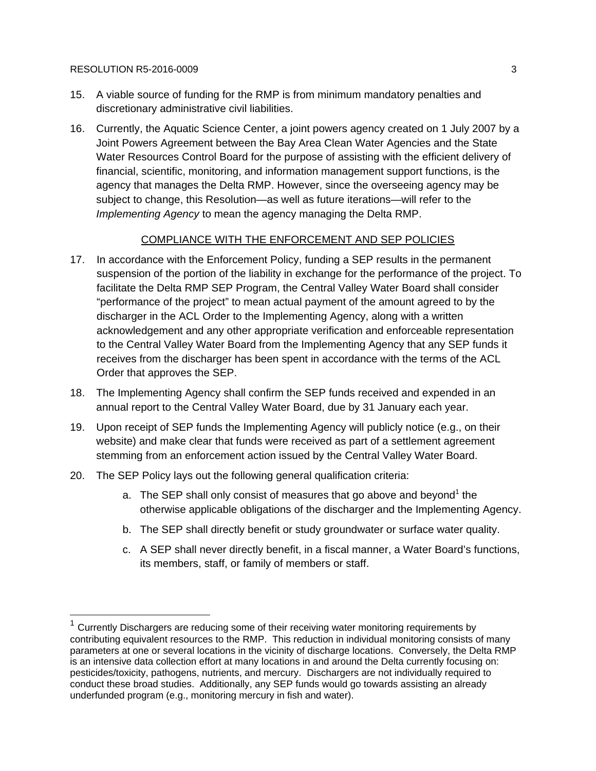#### RESOLUTION R5-2016-0009 3

 $\overline{a}$ 

- 15. A viable source of funding for the RMP is from minimum mandatory penalties and discretionary administrative civil liabilities.
- 16. Currently, the Aquatic Science Center, a joint powers agency created on 1 July 2007 by a Joint Powers Agreement between the Bay Area Clean Water Agencies and the State Water Resources Control Board for the purpose of assisting with the efficient delivery of financial, scientific, monitoring, and information management support functions, is the agency that manages the Delta RMP. However, since the overseeing agency may be subject to change, this Resolution—as well as future iterations—will refer to the *Implementing Agency* to mean the agency managing the Delta RMP.

## COMPLIANCE WITH THE ENFORCEMENT AND SEP POLICIES

- 17. In accordance with the Enforcement Policy, funding a SEP results in the permanent suspension of the portion of the liability in exchange for the performance of the project. To facilitate the Delta RMP SEP Program, the Central Valley Water Board shall consider "performance of the project" to mean actual payment of the amount agreed to by the discharger in the ACL Order to the Implementing Agency, along with a written acknowledgement and any other appropriate verification and enforceable representation to the Central Valley Water Board from the Implementing Agency that any SEP funds it receives from the discharger has been spent in accordance with the terms of the ACL Order that approves the SEP.
- 18. The Implementing Agency shall confirm the SEP funds received and expended in an annual report to the Central Valley Water Board, due by 31 January each year.
- 19. Upon receipt of SEP funds the Implementing Agency will publicly notice (e.g., on their website) and make clear that funds were received as part of a settlement agreement stemming from an enforcement action issued by the Central Valley Water Board.
- 20. The SEP Policy lays out the following general qualification criteria:
	- a. The SEP shall only consist of measures that go above and beyond<sup>1</sup> the otherwise applicable obligations of the discharger and the Implementing Agency.
	- b. The SEP shall directly benefit or study groundwater or surface water quality.
	- c. A SEP shall never directly benefit, in a fiscal manner, a Water Board's functions, its members, staff, or family of members or staff.

 $1$  Currently Dischargers are reducing some of their receiving water monitoring requirements by contributing equivalent resources to the RMP. This reduction in individual monitoring consists of many parameters at one or several locations in the vicinity of discharge locations. Conversely, the Delta RMP is an intensive data collection effort at many locations in and around the Delta currently focusing on: pesticides/toxicity, pathogens, nutrients, and mercury. Dischargers are not individually required to conduct these broad studies. Additionally, any SEP funds would go towards assisting an already underfunded program (e.g., monitoring mercury in fish and water).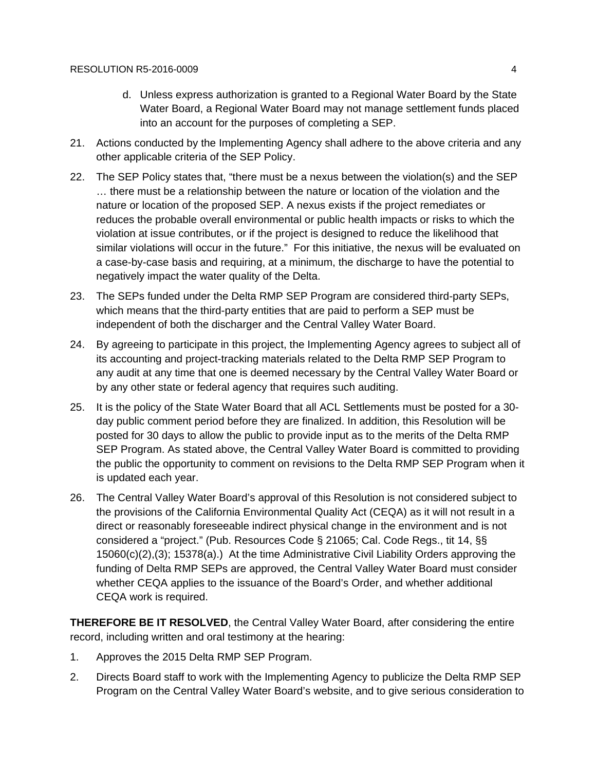- d. Unless express authorization is granted to a Regional Water Board by the State Water Board, a Regional Water Board may not manage settlement funds placed into an account for the purposes of completing a SEP.
- 21. Actions conducted by the Implementing Agency shall adhere to the above criteria and any other applicable criteria of the SEP Policy.
- 22. The SEP Policy states that, "there must be a nexus between the violation(s) and the SEP … there must be a relationship between the nature or location of the violation and the nature or location of the proposed SEP. A nexus exists if the project remediates or reduces the probable overall environmental or public health impacts or risks to which the violation at issue contributes, or if the project is designed to reduce the likelihood that similar violations will occur in the future." For this initiative, the nexus will be evaluated on a case-by-case basis and requiring, at a minimum, the discharge to have the potential to negatively impact the water quality of the Delta.
- 23. The SEPs funded under the Delta RMP SEP Program are considered third-party SEPs, which means that the third-party entities that are paid to perform a SEP must be independent of both the discharger and the Central Valley Water Board.
- 24. By agreeing to participate in this project, the Implementing Agency agrees to subject all of its accounting and project-tracking materials related to the Delta RMP SEP Program to any audit at any time that one is deemed necessary by the Central Valley Water Board or by any other state or federal agency that requires such auditing.
- 25. It is the policy of the State Water Board that all ACL Settlements must be posted for a 30 day public comment period before they are finalized. In addition, this Resolution will be posted for 30 days to allow the public to provide input as to the merits of the Delta RMP SEP Program. As stated above, the Central Valley Water Board is committed to providing the public the opportunity to comment on revisions to the Delta RMP SEP Program when it is updated each year.
- 26. The Central Valley Water Board's approval of this Resolution is not considered subject to the provisions of the California Environmental Quality Act (CEQA) as it will not result in a direct or reasonably foreseeable indirect physical change in the environment and is not considered a "project." (Pub. Resources Code § 21065; Cal. Code Regs., tit 14, §§ 15060(c)(2),(3); 15378(a).) At the time Administrative Civil Liability Orders approving the funding of Delta RMP SEPs are approved, the Central Valley Water Board must consider whether CEQA applies to the issuance of the Board's Order, and whether additional CEQA work is required.

**THEREFORE BE IT RESOLVED**, the Central Valley Water Board, after considering the entire record, including written and oral testimony at the hearing:

- 1. Approves the 2015 Delta RMP SEP Program.
- 2. Directs Board staff to work with the Implementing Agency to publicize the Delta RMP SEP Program on the Central Valley Water Board's website, and to give serious consideration to